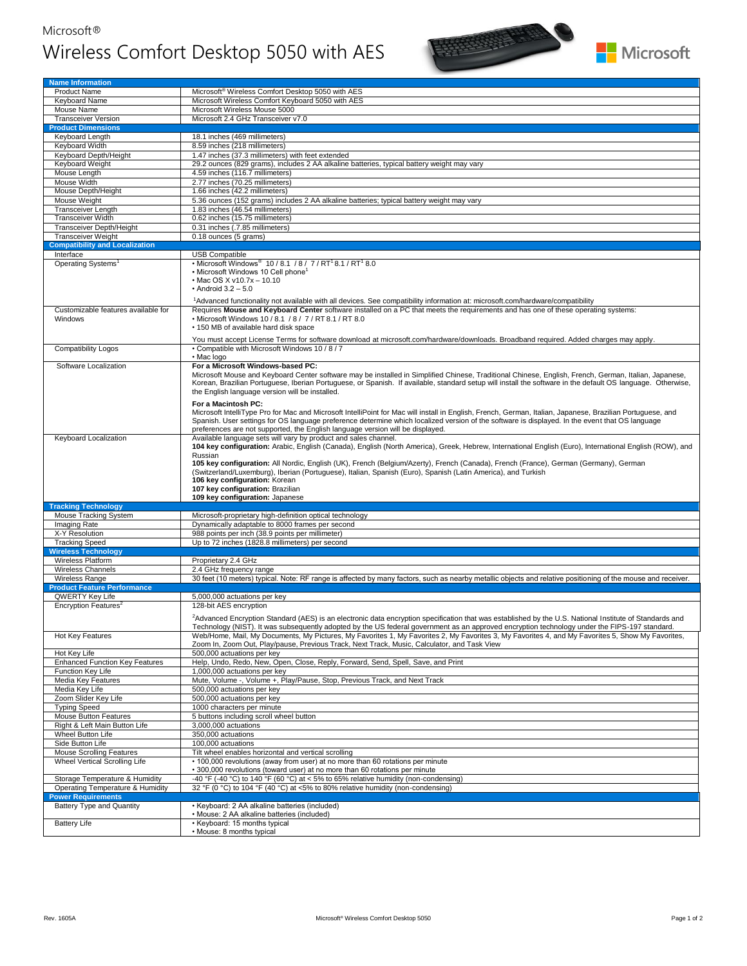## Microsoft® Wireless Comfort Desktop 5050 with AES





| <b>Name Information</b>                                       |                                                                                                                                                                                                                                                                                                                                                                                                                                                                                                                                                                                                       |  |
|---------------------------------------------------------------|-------------------------------------------------------------------------------------------------------------------------------------------------------------------------------------------------------------------------------------------------------------------------------------------------------------------------------------------------------------------------------------------------------------------------------------------------------------------------------------------------------------------------------------------------------------------------------------------------------|--|
| <b>Product Name</b>                                           | Microsoft <sup>®</sup> Wireless Comfort Desktop 5050 with AES                                                                                                                                                                                                                                                                                                                                                                                                                                                                                                                                         |  |
| Keyboard Name                                                 | Microsoft Wireless Comfort Keyboard 5050 with AES                                                                                                                                                                                                                                                                                                                                                                                                                                                                                                                                                     |  |
| Mouse Name                                                    | Microsoft Wireless Mouse 5000                                                                                                                                                                                                                                                                                                                                                                                                                                                                                                                                                                         |  |
| <b>Transceiver Version</b>                                    | Microsoft 2.4 GHz Transceiver v7.0                                                                                                                                                                                                                                                                                                                                                                                                                                                                                                                                                                    |  |
| <b>Product Dimensions</b>                                     |                                                                                                                                                                                                                                                                                                                                                                                                                                                                                                                                                                                                       |  |
| Keyboard Length                                               | 18.1 inches (469 millimeters)                                                                                                                                                                                                                                                                                                                                                                                                                                                                                                                                                                         |  |
| <b>Keyboard Width</b>                                         | 8.59 inches (218 millimeters)                                                                                                                                                                                                                                                                                                                                                                                                                                                                                                                                                                         |  |
| Keyboard Depth/Height                                         | 1.47 inches (37.3 millimeters) with feet extended                                                                                                                                                                                                                                                                                                                                                                                                                                                                                                                                                     |  |
| Keyboard Weight                                               | 29.2 ounces (829 grams), includes 2 AA alkaline batteries, typical battery weight may vary                                                                                                                                                                                                                                                                                                                                                                                                                                                                                                            |  |
| Mouse Length                                                  | 4.59 inches (116.7 millimeters)                                                                                                                                                                                                                                                                                                                                                                                                                                                                                                                                                                       |  |
| Mouse Width                                                   | 2.77 inches (70.25 millimeters)                                                                                                                                                                                                                                                                                                                                                                                                                                                                                                                                                                       |  |
| Mouse Depth/Height                                            | 1.66 inches (42.2 millimeters)                                                                                                                                                                                                                                                                                                                                                                                                                                                                                                                                                                        |  |
| Mouse Weight                                                  | 5.36 ounces (152 grams) includes 2 AA alkaline batteries; typical battery weight may vary                                                                                                                                                                                                                                                                                                                                                                                                                                                                                                             |  |
| Transceiver Length                                            | 1.83 inches (46.54 millimeters)                                                                                                                                                                                                                                                                                                                                                                                                                                                                                                                                                                       |  |
| <b>Transceiver Width</b>                                      | 0.62 inches (15.75 millimeters)                                                                                                                                                                                                                                                                                                                                                                                                                                                                                                                                                                       |  |
| Transceiver Depth/Height                                      | 0.31 inches (.7.85 millimeters)                                                                                                                                                                                                                                                                                                                                                                                                                                                                                                                                                                       |  |
| <b>Transceiver Weight</b>                                     | 0.18 ounces (5 grams)                                                                                                                                                                                                                                                                                                                                                                                                                                                                                                                                                                                 |  |
| <b>Compatibility and Localization</b>                         |                                                                                                                                                                                                                                                                                                                                                                                                                                                                                                                                                                                                       |  |
| Interface                                                     | <b>USB Compatible</b>                                                                                                                                                                                                                                                                                                                                                                                                                                                                                                                                                                                 |  |
| Operating Systems <sup>1</sup>                                | • Microsoft Windows <sup>®</sup> 10 / 8.1 / 8 / 7 / RT <sup>1</sup> 8.1 / RT <sup>1</sup> 8.0<br>- Microsoft Windows 10 Cell phone <sup>1</sup><br>• Mac OS X v10.7x - 10.10<br>$\cdot$ Android 3.2 - 5.0                                                                                                                                                                                                                                                                                                                                                                                             |  |
|                                                               |                                                                                                                                                                                                                                                                                                                                                                                                                                                                                                                                                                                                       |  |
| Customizable features available for<br>Windows                | <sup>1</sup> Advanced functionality not available with all devices. See compatibility information at: microsoft.com/hardware/compatibility<br>Requires Mouse and Keyboard Center software installed on a PC that meets the requirements and has one of these operating systems:<br>• Microsoft Windows 10 / 8.1 / 8 / 7 / RT 8.1 / RT 8.0<br>• 150 MB of available hard disk space                                                                                                                                                                                                                    |  |
| <b>Compatibility Logos</b>                                    | You must accept License Terms for software download at microsoft.com/hardware/downloads. Broadband required. Added charges may apply.<br>• Compatible with Microsoft Windows 10/8/7                                                                                                                                                                                                                                                                                                                                                                                                                   |  |
| Software Localization                                         | · Mac logo<br>For a Microsoft Windows-based PC:                                                                                                                                                                                                                                                                                                                                                                                                                                                                                                                                                       |  |
|                                                               | Microsoft Mouse and Keyboard Center software may be installed in Simplified Chinese, Traditional Chinese, English, French, German, Italian, Japanese,<br>Korean, Brazilian Portuguese, Iberian Portuguese, or Spanish. If available, standard setup will install the software in the default OS language. Otherwise,<br>the English language version will be installed.                                                                                                                                                                                                                               |  |
|                                                               | For a Macintosh PC:<br>Microsoft IntelliType Pro for Mac and Microsoft IntelliPoint for Mac will install in English, French, German, Italian, Japanese, Brazilian Portuguese, and<br>Spanish. User settings for OS language preference determine which localized version of the software is displayed. In the event that OS language<br>preferences are not supported, the English language version will be displayed.                                                                                                                                                                                |  |
| Keyboard Localization                                         | Available language sets will vary by product and sales channel.<br>104 key configuration: Arabic, English (Canada), English (North America), Greek, Hebrew, International English (Euro), International English (ROW), and<br>Russian<br>105 key configuration: All Nordic, English (UK), French (Belgium/Azerty), French (Canada), French (France), German (Germany), German<br>(Switzerland/Luxemburg), Iberian (Portuguese), Italian, Spanish (Euro), Spanish (Latin America), and Turkish<br>106 key configuration: Korean<br>107 key configuration: Brazilian<br>109 key configuration: Japanese |  |
| <b>Tracking Technology</b>                                    |                                                                                                                                                                                                                                                                                                                                                                                                                                                                                                                                                                                                       |  |
| Mouse Tracking System                                         | Microsoft-proprietary high-definition optical technology                                                                                                                                                                                                                                                                                                                                                                                                                                                                                                                                              |  |
| Imaging Rate                                                  | Dynamically adaptable to 8000 frames per second                                                                                                                                                                                                                                                                                                                                                                                                                                                                                                                                                       |  |
| X-Y Resolution                                                | 988 points per inch (38.9 points per millimeter)                                                                                                                                                                                                                                                                                                                                                                                                                                                                                                                                                      |  |
| <b>Tracking Speed</b>                                         | Up to 72 inches (1828.8 millimeters) per second                                                                                                                                                                                                                                                                                                                                                                                                                                                                                                                                                       |  |
| <b>Wireless Technology</b>                                    |                                                                                                                                                                                                                                                                                                                                                                                                                                                                                                                                                                                                       |  |
| Wireless Platform                                             | Proprietary 2.4 GHz                                                                                                                                                                                                                                                                                                                                                                                                                                                                                                                                                                                   |  |
| <b>Wireless Channels</b>                                      | 2.4 GHz frequency range                                                                                                                                                                                                                                                                                                                                                                                                                                                                                                                                                                               |  |
| Wireless Range<br><b>Product Feature Performance</b>          | 30 feet (10 meters) typical. Note: RF range is affected by many factors, such as nearby metallic objects and relative positioning of the mouse and receiver.                                                                                                                                                                                                                                                                                                                                                                                                                                          |  |
| QWERTY Key Life                                               | 5,000,000 actuations per key                                                                                                                                                                                                                                                                                                                                                                                                                                                                                                                                                                          |  |
| Encryption Features <sup>2</sup>                              | 128-bit AES encryption                                                                                                                                                                                                                                                                                                                                                                                                                                                                                                                                                                                |  |
|                                                               | <sup>2</sup> Advanced Encryption Standard (AES) is an electronic data encryption specification that was established by the U.S. National Institute of Standards and<br>Technology (NIST). It was subsequently adopted by the US federal government as an approved encryption technology under the FIPS-197 standard.                                                                                                                                                                                                                                                                                  |  |
| <b>Hot Key Features</b>                                       | Web/Home, Mail, My Documents, My Pictures, My Favorites 1, My Favorites 2, My Favorites 3, My Favorites 4, and My Favorites 5, Show My Favorites,<br>Zoom In, Zoom Out, Play/pause, Previous Track, Next Track, Music, Calculator, and Task View                                                                                                                                                                                                                                                                                                                                                      |  |
| Hot Key Life                                                  | 500,000 actuations per key                                                                                                                                                                                                                                                                                                                                                                                                                                                                                                                                                                            |  |
| <b>Enhanced Function Key Features</b><br>Function Key Life    | Help, Undo, Redo, New, Open, Close, Reply, Forward, Send, Spell, Save, and Print<br>1,000,000 actuations per key                                                                                                                                                                                                                                                                                                                                                                                                                                                                                      |  |
| <b>Media Key Features</b>                                     | Mute, Volume -, Volume +, Play/Pause, Stop, Previous Track, and Next Track                                                                                                                                                                                                                                                                                                                                                                                                                                                                                                                            |  |
| Media Key Life                                                | 500,000 actuations per key                                                                                                                                                                                                                                                                                                                                                                                                                                                                                                                                                                            |  |
| Zoom Slider Key Life                                          | 500,000 actuations per key                                                                                                                                                                                                                                                                                                                                                                                                                                                                                                                                                                            |  |
| <b>Typing Speed</b>                                           | 1000 characters per minute                                                                                                                                                                                                                                                                                                                                                                                                                                                                                                                                                                            |  |
| Mouse Button Features                                         | 5 buttons including scroll wheel button                                                                                                                                                                                                                                                                                                                                                                                                                                                                                                                                                               |  |
| Right & Left Main Button Life                                 | 3,000,000 actuations                                                                                                                                                                                                                                                                                                                                                                                                                                                                                                                                                                                  |  |
| Wheel Button Life                                             | 350,000 actuations                                                                                                                                                                                                                                                                                                                                                                                                                                                                                                                                                                                    |  |
| Side Button Life                                              | 100,000 actuations                                                                                                                                                                                                                                                                                                                                                                                                                                                                                                                                                                                    |  |
| <b>Mouse Scrolling Features</b>                               | Tilt wheel enables horizontal and vertical scrolling                                                                                                                                                                                                                                                                                                                                                                                                                                                                                                                                                  |  |
| Wheel Vertical Scrolling Life                                 | • 100,000 revolutions (away from user) at no more than 60 rotations per minute<br>• 300,000 revolutions (toward user) at no more than 60 rotations per minute                                                                                                                                                                                                                                                                                                                                                                                                                                         |  |
| Storage Temperature & Humidity                                | -40 °F (-40 °C) to 140 °F (60 °C) at < 5% to 65% relative humidity (non-condensing)                                                                                                                                                                                                                                                                                                                                                                                                                                                                                                                   |  |
| Operating Temperature & Humidity<br><b>Power Requirements</b> | 32 °F (0 °C) to 104 °F (40 °C) at <5% to 80% relative humidity (non-condensing)                                                                                                                                                                                                                                                                                                                                                                                                                                                                                                                       |  |
| Battery Type and Quantity                                     | • Keyboard: 2 AA alkaline batteries (included)                                                                                                                                                                                                                                                                                                                                                                                                                                                                                                                                                        |  |
| <b>Battery Life</b>                                           | · Mouse: 2 AA alkaline batteries (included)<br>• Keyboard: 15 months typical                                                                                                                                                                                                                                                                                                                                                                                                                                                                                                                          |  |
|                                                               | • Mouse: 8 months typical                                                                                                                                                                                                                                                                                                                                                                                                                                                                                                                                                                             |  |